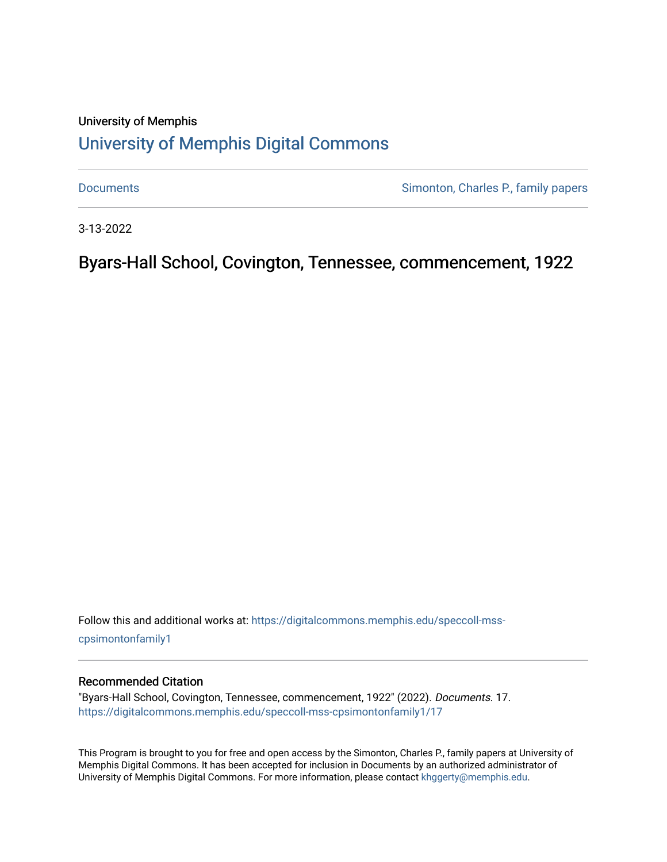# University of Memphis [University of Memphis Digital Commons](https://digitalcommons.memphis.edu/)

[Documents](https://digitalcommons.memphis.edu/speccoll-mss-cpsimontonfamily1) **Simonton, Charles P., family papers** 

3-13-2022

Byars-Hall School, Covington, Tennessee, commencement, 1922

Follow this and additional works at: [https://digitalcommons.memphis.edu/speccoll-mss](https://digitalcommons.memphis.edu/speccoll-mss-cpsimontonfamily1?utm_source=digitalcommons.memphis.edu%2Fspeccoll-mss-cpsimontonfamily1%2F17&utm_medium=PDF&utm_campaign=PDFCoverPages)[cpsimontonfamily1](https://digitalcommons.memphis.edu/speccoll-mss-cpsimontonfamily1?utm_source=digitalcommons.memphis.edu%2Fspeccoll-mss-cpsimontonfamily1%2F17&utm_medium=PDF&utm_campaign=PDFCoverPages) 

#### Recommended Citation

"Byars-Hall School, Covington, Tennessee, commencement, 1922" (2022). Documents. 17. [https://digitalcommons.memphis.edu/speccoll-mss-cpsimontonfamily1/17](https://digitalcommons.memphis.edu/speccoll-mss-cpsimontonfamily1/17?utm_source=digitalcommons.memphis.edu%2Fspeccoll-mss-cpsimontonfamily1%2F17&utm_medium=PDF&utm_campaign=PDFCoverPages) 

This Program is brought to you for free and open access by the Simonton, Charles P., family papers at University of Memphis Digital Commons. It has been accepted for inclusion in Documents by an authorized administrator of University of Memphis Digital Commons. For more information, please contact [khggerty@memphis.edu](mailto:khggerty@memphis.edu).